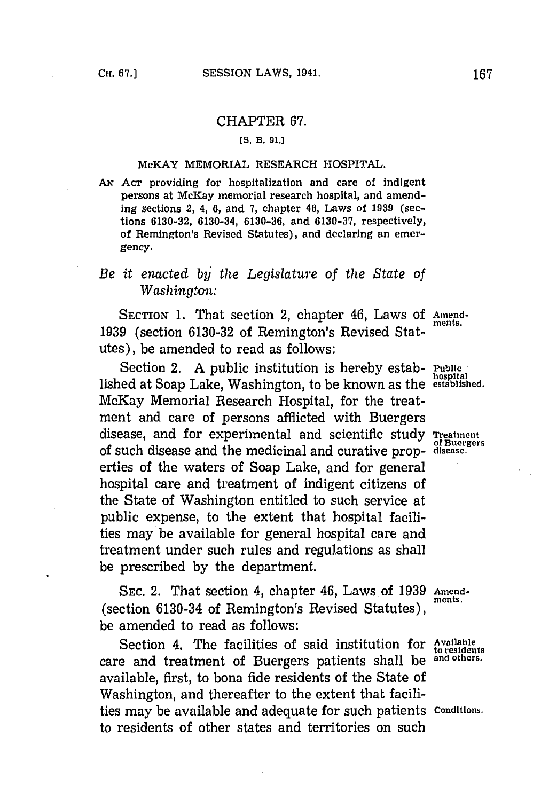## CHAPTER **67.**

### **[S. B. 91.]**

### McKAY MEMORIAL RESEARCH **HOSPITAL.**

*AN* **ACT** providing for hospitalization and care of indigent persons at McKay memorial research hospital, and amending sections 2, 4, **6,** and **7,** chapter 46, Laws of **1939** (sections **6130-32,** 6130-34, **6130-36,** and **6130-37,** respectively, of Remington's Revised Statutes), and declaring an emergency.

# *Be it enacted by the Legislature of the State of Washington:*

SECTION 1. That section 2, chapter 46, Laws of Amend-**1939** (section **6130-32** of Remington's Revised Statutes), be amended to read as follows:

Section 2. A public institution is hereby estab- Public lished at Soap Lake, Washington, to be known as the **established.** McKay Memorial Research Hospital, for the treatment and care of persons afflicted with Duergers disease, and for experimental and scientific study **Treatment** of such disease and the medicinal and curative prop- **disease.** erties of the waters of Soap Lake, and for general hospital care and treatment of indigent citizens of the State of Washington entitled to such service at public expense, to the extent that hospital facilities may be available for general hospital care and treatment under such rules and regulations as shall be prescribed **by** the department.

**SEC.** 2. That section 4, chapter 46, Laws of **1939 Amend-** (section  $6130-34$  of Remington's Revised Statutes), be amended to read as follows:

Section 4. The facilities of said institution for **Available to residents** care and treatment of Buergers patients shall be **and others.** available, first, to bona fide residents of the State of Washington, and thereafter to the extent that facilities may be available and adequate for such patients **Conditions.** to residents of other states and territories on such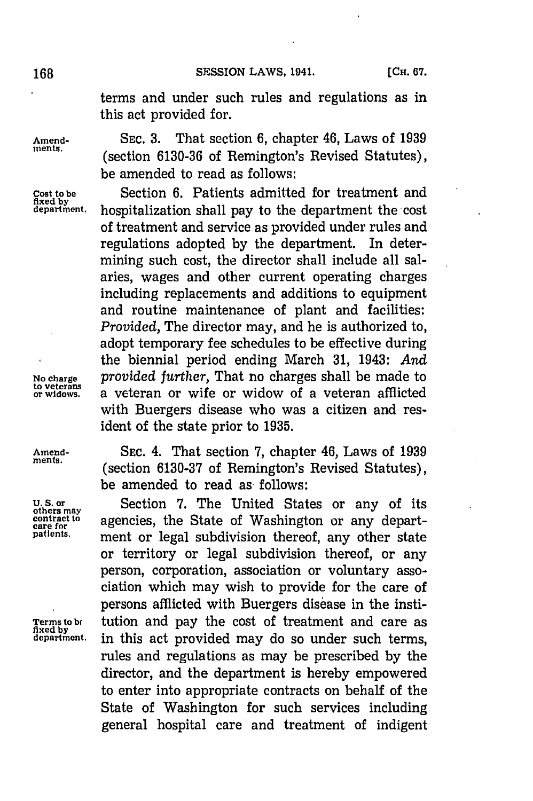terms and under such rules and regulations as in this act provided for.

**Amend- SEC. 3.** That section **6,** chapter 46, Laws of **1939** (section 6130-36 of Remington's Revised Statutes), be amended to read as follows:

**Cost to be** Section **6.** Patients admitted for treatment and **fixed by department.** hospitalization shall pay to the department the cost of treatment and service as provided under rules and regulations adopted **by** the department. In determining such cost, the director shall include all salaries, wages and other current operating charges including replacements and additions to equipment and routine maintenance of plant and facilities: *Provided,* The director may, and he is authorized to, adopt temporary fee schedules to be effective during the biennial period ending March **31,** 1943: *And* **No charge** *provided further,* That no charges shall be made to **to veterans or widows,** a veteran or wife or widow of a veteran afflicted with Buergers disease who was a citizen and resident of the state prior to **1935.**

**Amend-** SEC. 4. That section **7,** chapter 46, Laws of **1939** (section 6130-37 of Remington's Revised Statutes), be amended to read as follows:

U. S. or **Section 7.** The United States or any of its contract to agencies, the State of Washington or any depart-<br> **care for** any order or local subdivision thereof any other state ment or legal subdivision thereof, any other state or territory or legal subdivision thereof, or any person, corporation, association or voluntary association which may wish to provide for the care of persons afflicted with Buergers disease in the institution and pay the cost of treatment and care as Terms to be tution and pay the cost of treatment and care as fixed by<br>fixed by<br>department. in this act provided may do so under such terms, rules and regulations as may be prescribed **by** the director, and the department is hereby empowered to enter into appropriate contracts on behalf of the State of Washington for such services including general hospital care and treatment of indigent